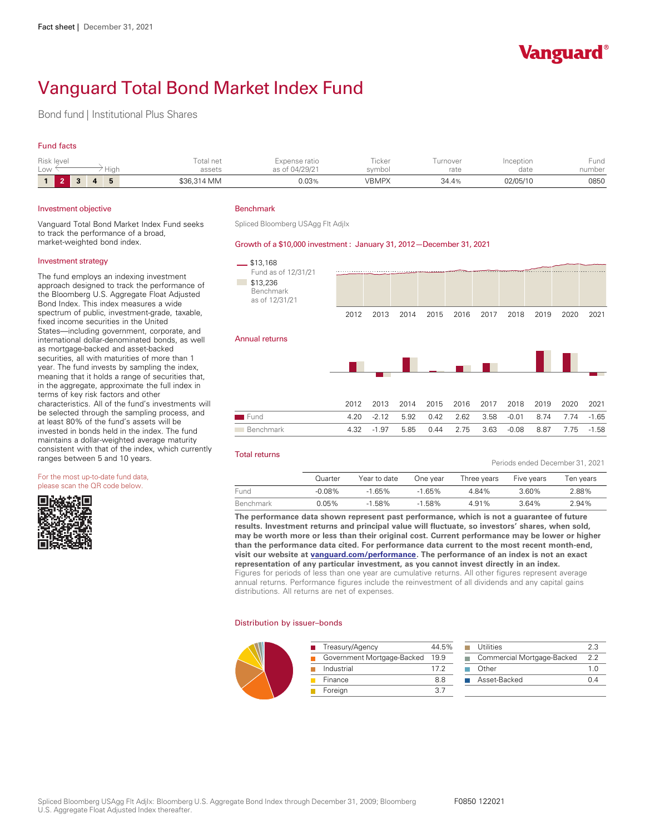

Periods ended December 31, 2021

# Vanguard Total Bond Market Index Fund

Bond fund | Institutional Plus Shares

## Fund facts

| Risk level<br>Low<br>Hiar             | <sup>r</sup> otal net<br>assets | cxpense ratio<br>of 04/29/21 | Ticker<br>symbol | urnover<br>rate | Inception<br>date | Fund<br>number |
|---------------------------------------|---------------------------------|------------------------------|------------------|-----------------|-------------------|----------------|
| $\blacksquare$<br>$\mathbf{r}$<br>. . | \$36,314 MM                     | 0.03%                        | <b>VBMPX</b>     | 34.4%           | 02/05/10          | 0850           |

### Investment objective

Vanguard Total Bond Market Index Fund seeks to track the performance of a broad, market-weighted bond index.

#### Investment strategy

The fund employs an indexing investment approach designed to track the performance of the Bloomberg U.S. Aggregate Float Adjusted Bond Index. This index measures a wide spectrum of public, investment-grade, taxable, fixed income securities in the United States—including government, corporate, and international dollar-denominated bonds, as well as mortgage-backed and asset-backed securities, all with maturities of more than 1 year. The fund invests by sampling the index, meaning that it holds a range of securities that, in the aggregate, approximate the full index in terms of key risk factors and other characteristics. All of the fund's investments will be selected through the sampling process, and at least 80% of the fund's assets will be invested in bonds held in the index. The fund maintains a dollar-weighted average maturity consistent with that of the index, which currently ranges between 5 and 10 years.

#### For the most up-to-date fund data, please scan the QR code below.



## Benchmark

Spliced Bloomberg USAgg Flt AdjIx

#### Growth of a \$10,000 investment : January 31, 2012— December 31, 2021

| $-$ \$13,168<br>Fund as of 12/31/21<br>\$13,236<br><b>College</b><br>Benchmark<br>as of 12/31/21 |      |         |      |      |      |      |         |      |      |         |
|--------------------------------------------------------------------------------------------------|------|---------|------|------|------|------|---------|------|------|---------|
|                                                                                                  | 2012 | 2013    | 2014 | 2015 | 2016 | 2017 | 2018    | 2019 | 2020 | 2021    |
| <b>Annual returns</b>                                                                            |      |         |      |      |      |      |         |      |      |         |
|                                                                                                  | 2012 | 2013    | 2014 | 2015 | 2016 | 2017 | 2018    | 2019 | 2020 | 2021    |
| Fund                                                                                             | 4.20 | $-2.12$ | 5.92 | 0.42 | 2.62 | 3.58 | $-0.01$ | 8.74 | 7.74 | $-1.65$ |
| Benchmark                                                                                        | 4.32 | $-1.97$ | 5.85 | 0.44 | 2.75 | 3.63 | $-0.08$ | 8.87 | 7.75 | $-1.58$ |

#### Total returns

|           | Quarter   | Year to date | One vear  | Three years | Five years | Ten years |
|-----------|-----------|--------------|-----------|-------------|------------|-----------|
| Fund      | $-0.08\%$ | $-1.65\%$    | $-1.65%$  | 4 84%       | 3.60%      | 2.88%     |
| Benchmark | $0.05\%$  | $-1.58\%$    | $-1.58\%$ | 4 91%       | 3.64%      | 2.94%     |

**The performance data shown represent past performance, which is not a guarantee of future results. Investment returns and principal value will fluctuate, so investors' shares, when sold, may be worth more or less than their original cost. Current performance may be lower or higher than the performance data cited. For performance data current to the most recent month-end, visit our website at [vanguard.com/performance .](http://www.vanguard.com/performance) The performance of an index is not an exact representation of any particular investment, as you cannot invest directly in an index.**  Figures for periods of less than one year are cumulative returns. All other figures represent average annual returns. Performance figures include the reinvestment of all dividends and any capital gains distributions. All returns are net of expenses.

#### Distribution by issuer–bonds

| Treasury/Agency                 | 44.5% | Utilities                  |     |
|---------------------------------|-------|----------------------------|-----|
| Government Mortgage-Backed 19.9 |       | Commercial Mortgage-Backed | 2.2 |
| Industrial                      | 17 2  | Other                      |     |
| Finance                         | 8.8   | Asset-Backed               | 0.4 |
| Foreign                         |       |                            |     |

| Spliced Bloomberg USAgg Flt Adjlx: Bloomberg U.S. Aggregate Bond Index through December 31, 2009; Bloomberg |  |
|-------------------------------------------------------------------------------------------------------------|--|
| U.S. Aggregate Float Adjusted Index thereafter.                                                             |  |